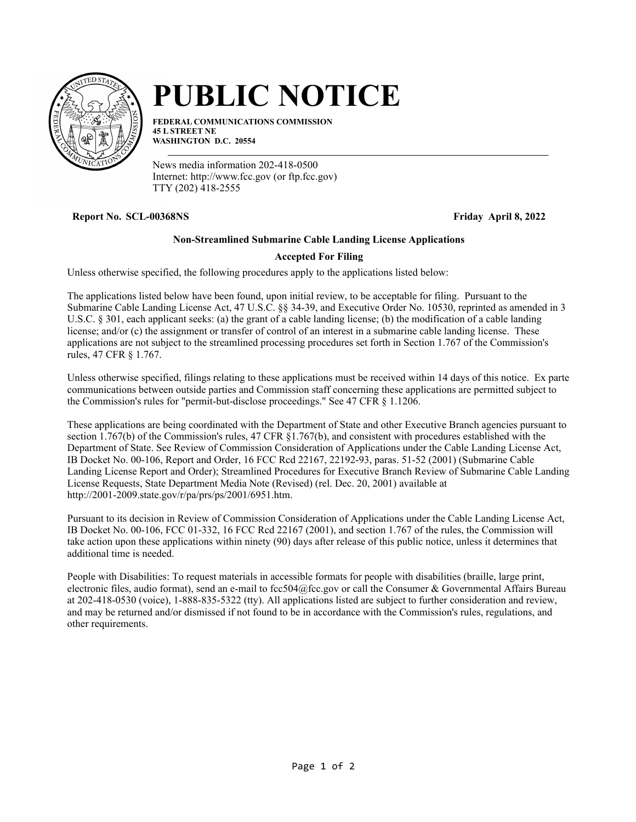

# **PUBLIC NOTICE**

**FEDERAL COMMUNICATIONS COMMISSION 45 L STREET NE WASHINGTON D.C. 20554**

News media information 202-418-0500 Internet: http://www.fcc.gov (or ftp.fcc.gov) TTY (202) 418-2555

**Report No. SCL-00368NS Friday April 8, 2022**

# **Non-Streamlined Submarine Cable Landing License Applications**

## **Accepted For Filing**

Unless otherwise specified, the following procedures apply to the applications listed below:

The applications listed below have been found, upon initial review, to be acceptable for filing. Pursuant to the Submarine Cable Landing License Act, 47 U.S.C. §§ 34-39, and Executive Order No. 10530, reprinted as amended in 3 U.S.C. § 301, each applicant seeks: (a) the grant of a cable landing license; (b) the modification of a cable landing license; and/or (c) the assignment or transfer of control of an interest in a submarine cable landing license. These applications are not subject to the streamlined processing procedures set forth in Section 1.767 of the Commission's rules, 47 CFR § 1.767.

Unless otherwise specified, filings relating to these applications must be received within 14 days of this notice. Ex parte communications between outside parties and Commission staff concerning these applications are permitted subject to the Commission's rules for "permit-but-disclose proceedings." See 47 CFR § 1.1206.

These applications are being coordinated with the Department of State and other Executive Branch agencies pursuant to section 1.767(b) of the Commission's rules, 47 CFR §1.767(b), and consistent with procedures established with the Department of State. See Review of Commission Consideration of Applications under the Cable Landing License Act, IB Docket No. 00-106, Report and Order, 16 FCC Rcd 22167, 22192-93, paras. 51-52 (2001) (Submarine Cable Landing License Report and Order); Streamlined Procedures for Executive Branch Review of Submarine Cable Landing License Requests, State Department Media Note (Revised) (rel. Dec. 20, 2001) available at http://2001-2009.state.gov/r/pa/prs/ps/2001/6951.htm.

Pursuant to its decision in Review of Commission Consideration of Applications under the Cable Landing License Act, IB Docket No. 00-106, FCC 01-332, 16 FCC Rcd 22167 (2001), and section 1.767 of the rules, the Commission will take action upon these applications within ninety (90) days after release of this public notice, unless it determines that additional time is needed.

People with Disabilities: To request materials in accessible formats for people with disabilities (braille, large print, electronic files, audio format), send an e-mail to fcc504@fcc.gov or call the Consumer & Governmental Affairs Bureau at 202-418-0530 (voice), 1-888-835-5322 (tty). All applications listed are subject to further consideration and review, and may be returned and/or dismissed if not found to be in accordance with the Commission's rules, regulations, and other requirements.